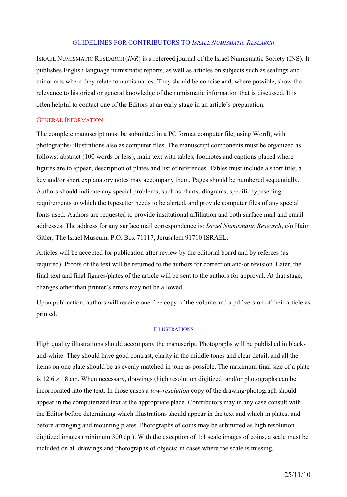## GUIDELINES FOR CONTRIBUTORS TO *ISRAEL NUMISMATIC RESEARCH*

ISRAEL NUMISMATIC RESEARCH (*INR*) is a refereed journal of the Israel Numismatic Society (INS). It publishes English language numismatic reports, as well as articles on subjects such as sealings and minor arts where they relate to numismatics. They should be concise and, where possible, show the relevance to historical or general knowledge of the numismatic information that is discussed. It is often helpful to contact one of the Editors at an early stage in an article's preparation.

### GENERAL INFORMATION

The complete manuscript must be submitted in a PC format computer file, using Word), with photographs/ illustrations also as computer files. The manuscript components must be organized as follows: abstract (100 words or less), main text with tables, footnotes and captions placed where figures are to appear; description of plates and list of references. Tables must include a short title; a key and/or short explanatory notes may accompany them. Pages should be numbered sequentially. Authors should indicate any special problems, such as charts, diagrams, specific typesetting requirements to which the typesetter needs to be alerted, and provide computer files of any special fonts used. Authors are requested to provide institutional affiliation and both surface mail and email addresses. The address for any surface mail correspondence is: *Israel Numismatic Research*, c/o Haim Gitler, The Israel Museum, P.O. Box 71117, Jerusalem 91710 ISRAEL.

Articles will be accepted for publication after review by the editorial board and by referees (as required). Proofs of the text will be returned to the authors for correction and/or revision. Later, the final text and final figures/plates of the article will be sent to the authors for approval. At that stage, changes other than printer's errors may not be allowed.

Upon publication, authors will receive one free copy of the volume and a pdf version of their article as printed.

### ILLUSTRATIONS

High quality illustrations should accompany the manuscript. Photographs will be published in blackand-white. They should have good contrast, clarity in the middle tones and clear detail, and all the items on one plate should be as evenly matched in tone as possible. The maximum final size of a plate is  $12.6 \times 18$  cm. When necessary, drawings (high resolution digitized) and/or photographs can be incorporated into the text. In those cases a *low-resolution* copy of the drawing/photograph should appear in the computerized text at the appropriate place. Contributors may in any case consult with the Editor before determining which illustrations should appear in the text and which in plates, and before arranging and mounting plates. Photographs of coins may be submitted as high resolution digitized images (minimum 300 dpi). With the exception of 1:1 scale images of coins, a scale must be included on all drawings and photographs of objects; in cases where the scale is missing,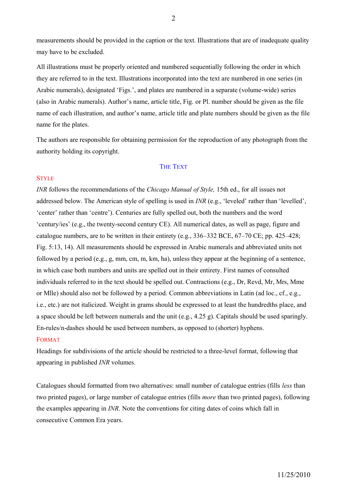measurements should be provided in the caption or the text. Illustrations that are of inadequate quality may have to be excluded.

All illustrations must be properly oriented and numbered sequentially following the order in which they are referred to in the text. Illustrations incorporated into the text are numbered in one series (in Arabic numerals), designated 'Figs.', and plates are numbered in a separate (volume-wide) series (also in Arabic numerals). Author's name, article title, Fig. or Pl. number should be given as the file name of each illustration, and author's name, article title and plate numbers should be given as the file name for the plates.

The authors are responsible for obtaining permission for the reproduction of any photograph from the authority holding its copyright.

#### THE TEXT

# **STYLE**

*INR* follows the recommendations of the *Chicago Manual of Style,* 15th ed., for all issues not addressed below. The American style of spelling is used in *INR* (e.g., 'leveled' rather than 'levelled', 'center' rather than 'centre'). Centuries are fully spelled out, both the numbers and the word 'century/ies' (e.g., the twenty-second century CE). All numerical dates, as well as page, figure and catalogue numbers, are to be written in their entirety (e.g., 336–332 BCE, 67–70 CE; pp. 425–428; Fig. 5:13, 14). All measurements should be expressed in Arabic numerals and abbreviated units not followed by a period (e.g., g, mm, cm, m, km, ha), unless they appear at the beginning of a sentence, in which case both numbers and units are spelled out in their entirety. First names of consulted individuals referred to in the text should be spelled out. Contractions (e.g., Dr, Revd, Mr, Mrs, Mme or Mlle) should also not be followed by a period. Common abbreviations in Latin (ad loc., cf., e.g., i.e., etc.) are not italicized. Weight in grams should be expressed to at least the hundredths place, and a space should be left between numerals and the unit (e.g., 4.25 g). Capitals should be used sparingly. En-rules/n-dashes should be used between numbers, as opposed to (shorter) hyphens.

#### FORMAT

Headings for subdivisions of the article should be restricted to a three-level format, following that appearing in published *INR* volumes.

Catalogues should formatted from two alternatives: small number of catalogue entries (fills *less* than two printed pages), or large number of catalogue entries (fills *more* than two printed pages), following the examples appearing in *INR*. Note the conventions for citing dates of coins which fall in consecutive Common Era years.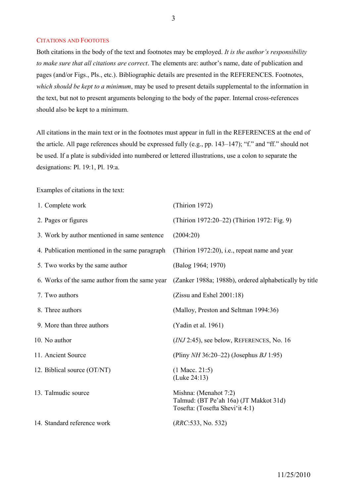### CITATIONS AND FOOTOTES

Both citations in the body of the text and footnotes may be employed. *It is the author's responsibility to make sure that all citations are correct*. The elements are: author's name, date of publication and pages (and/or Figs., Pls., etc.). Bibliographic details are presented in the REFERENCES. Footnotes, *which should be kept to a minimum*, may be used to present details supplemental to the information in the text, but not to present arguments belonging to the body of the paper. Internal cross-references should also be kept to a minimum.

All citations in the main text or in the footnotes must appear in full in the REFERENCES at the end of the article. All page references should be expressed fully (e.g., pp. 143–147); "f." and "ff." should not be used. If a plate is subdivided into numbered or lettered illustrations, use a colon to separate the designations: Pl. 19:1, Pl. 19:a.

Examples of citations in the text:

| 1. Complete work                               | (Thirion 1972)                                                                                     |
|------------------------------------------------|----------------------------------------------------------------------------------------------------|
| 2. Pages or figures                            | (Thirion 1972:20–22) (Thirion 1972: Fig. 9)                                                        |
| 3. Work by author mentioned in same sentence   | (2004:20)                                                                                          |
| 4. Publication mentioned in the same paragraph | (Thirion 1972:20), i.e., repeat name and year                                                      |
| 5. Two works by the same author                | (Balog 1964; 1970)                                                                                 |
| 6. Works of the same author from the same year | (Zanker 1988a; 1988b), ordered alphabetically by title                                             |
| 7. Two authors                                 | (Zissu and Eshel 2001:18)                                                                          |
| 8. Three authors                               | (Malloy, Preston and Seltman 1994:36)                                                              |
| 9. More than three authors                     | (Yadin et al. 1961)                                                                                |
| 10. No author                                  | $(NJ 2:45)$ , see below, REFERENCES, No. 16                                                        |
| 11. Ancient Source                             | (Pliny $NH 36:20-22$ ) (Josephus $BJ 1:95$ )                                                       |
| 12. Biblical source (OT/NT)                    | $(1$ Macc. 21:5)<br>(Luke $24:13$ )                                                                |
| 13. Talmudic source                            | Mishna: (Menahot 7:2)<br>Talmud: (BT Pe'ah 16a) (JT Makkot 31d)<br>Tosefta: (Tosefta Shevi'it 4:1) |
| 14. Standard reference work                    | (RRC:533, No. 532)                                                                                 |
|                                                |                                                                                                    |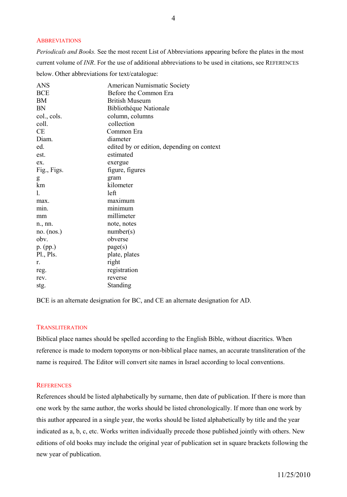## **ABBREVIATIONS**

*Periodicals and Books.* See the most recent List of Abbreviations appearing before the plates in the most current volume of *INR*. For the use of additional abbreviations to be used in citations, see REFERENCES below. Other abbreviations for text/catalogue:

| <b>ANS</b>        | American Numismatic Society                |
|-------------------|--------------------------------------------|
| <b>BCE</b>        | Before the Common Era                      |
| BM                | <b>British Museum</b>                      |
| BN                | Bibliothéque Nationale                     |
| col., cols.       | column, columns                            |
| coll.             | collection                                 |
| <b>CE</b>         | Common Era                                 |
| Diam.             | diameter                                   |
| ed.               | edited by or edition, depending on context |
| est.              | estimated                                  |
| ex.               | exergue                                    |
| Fig., Figs.       | figure, figures                            |
| g                 | gram                                       |
| km                | kilometer                                  |
| 1.                | left                                       |
| max.              | maximum                                    |
| min.              | minimum                                    |
| mm                | millimeter                                 |
| $n_{\cdot}$ , nn. | note, notes                                |
| no. (nos.)        | number(s)                                  |
| oby.              | obverse                                    |
| p. (pp.)          | page(s)                                    |
| Pl., Pls.         | plate, plates                              |
| r.                | right                                      |
| reg.              | registration                               |
| rev.              | reverse                                    |
| stg.              | Standing                                   |

BCE is an alternate designation for BC, and CE an alternate designation for AD.

## **TRANSLITERATION**

Biblical place names should be spelled according to the English Bible, without diacritics. When reference is made to modern toponyms or non-biblical place names, an accurate transliteration of the name is required. The Editor will convert site names in Israel according to local conventions.

#### **REFERENCES**

References should be listed alphabetically by surname, then date of publication. If there is more than one work by the same author, the works should be listed chronologically. If more than one work by this author appeared in a single year, the works should be listed alphabetically by title and the year indicated as a, b, c, etc. Works written individually precede those published jointly with others. New editions of old books may include the original year of publication set in square brackets following the new year of publication.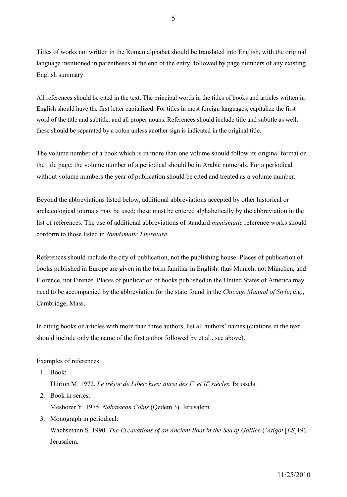Titles of works not written in the Roman alphabet should be translated into English, with the original language mentioned in parentheses at the end of the entry, followed by page numbers of any existing English summary.

All references should be cited in the text. The principal words in the titles of books and articles written in English should have the first letter capitalized. For titles in most foreign languages, capitalize the first word of the title and subtitle, and all proper nouns. References should include title and subtitle as well; these should be separated by a colon unless another sign is indicated in the original title.

The volume number of a book which is in more than one volume should follow its original format on the title page; the volume number of a periodical should be in Arabic numerals. For a periodical without volume numbers the year of publication should be cited and treated as a volume number.

Beyond the abbreviations listed below, additional abbreviations accepted by other historical or archaeological journals may be used; these must be entered alphabetically by the abbreviation in the list of references. The use of additional abbreviations of standard *numismatic* reference works should conform to those listed in *Numismatic Literature*.

References should include the city of publication, not the publishing house. Places of publication of books published in Europe are given in the form familiar in English: thus Munich, not München, and Florence, not Firenze. Places of publication of books published in the United States of America may need to be accompanied by the abbreviation for the state found in the *Chicago Manual of Style*; e.g., Cambridge, Mass.

In citing books or articles with more than three authors, list all authors' names (citations in the text should include only the name of the first author followed by et al., see above).

Examples of references:

1. Book:

Thirion M. 1972. *Le trésor de Liberchies; aurei des Ier et II<sup>e</sup> siècles.* Brussels.

2. Book in series:

Meshorer Y. 1975. *Nabataean Coins* (Qedem 3). Jerusalem.

3. Monograph in periodical: Wachsmann S. 1990. *The Excavations of an Ancient Boat in the Sea of Galilee* (*'Atiqot* [*ES*]19). Jerusalem.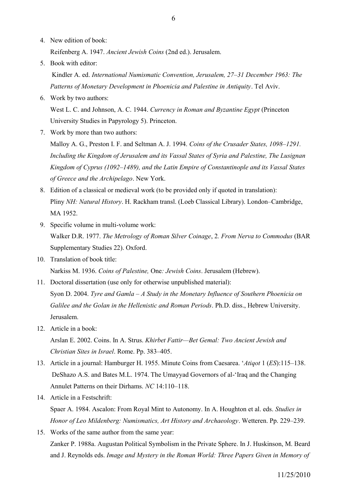4. New edition of book:

Reifenberg A. 1947. *Ancient Jewish Coins* (2nd ed.). Jerusalem.

5. Book with editor:

Kindler A. ed. *International Numismatic Convention, Jerusalem, 27–31 December 1963: The Patterns of Monetary Development in Phoenicia and Palestine in Antiquity*. Tel Aviv.

- 6. Work by two authors: West L. C. and Johnson, A. C. 1944. *Currency in Roman and Byzantine Egypt* (Princeton University Studies in Papyrology 5). Princeton.
- 7. Work by more than two authors:

Malloy A. G., Preston I. F. and Seltman A. J. 1994. *Coins of the Crusader States, 1098–1291. Including the Kingdom of Jerusalem and its Vassal States of Syria and Palestine, The Lusignan Kingdom of Cyprus (1092–1489), and the Latin Empire of Constantinople and its Vassal States of Greece and the Archipelago*. New York.

- 8. Edition of a classical or medieval work (to be provided only if quoted in translation): Pliny *NH: Natural History*. H. Rackham transl. (Loeb Classical Library). London–Cambridge, MA 1952.
- 9. Specific volume in multi-volume work: Walker D.R. 1977. *The Metrology of Roman Silver Coinage*, 2*. From Nerva to Commodus* (BAR Supplementary Studies 22). Oxford.
- 10. Translation of book title: Narkiss M. 1936. *Coins of Palestine,* One*: Jewish Coins*. Jerusalem (Hebrew).
- 11. Doctoral dissertation (use only for otherwise unpublished material): Syon D. 2004. *Tyre and Gamla – A Study in the Monetary Influence of Southern Phoenicia on Galilee and the Golan in the Hellenistic and Roman Periods*. Ph.D. diss., Hebrew University. Jerusalem.
- 12. Article in a book:

Arslan E. 2002. Coins. In A. Strus. *Khirbet Fattir—Bet Gemal: Two Ancient Jewish and Christian Sites in Israel*. Rome. Pp. 383–405.

- 13. Article in a journal: Hamburger H. 1955. Minute Coins from Caesarea. '*Atiqot* 1 (*ES*):115*–*138. DeShazo A.S. and Bates M.L. 1974. The Umayyad Governors of al-'Iraq and the Changing Annulet Patterns on their Dirhams. *NC* 14:110–118.
- 14. Article in a Festschrift:

Spaer A. 1984. Ascalon: From Royal Mint to Autonomy. In A. Houghton et al. eds. *Studies in Honor of Leo Mildenberg: Numismatics, Art History and Archaeology*. Wetteren. Pp. 229–239.

15. Works of the same author from the same year: Zanker P. 1988a. Augustan Political Symbolism in the Private Sphere. In J. Huskinson, M. Beard and J. Reynolds eds. *Image and Mystery in the Roman World: Three Papers Given in Memory of*